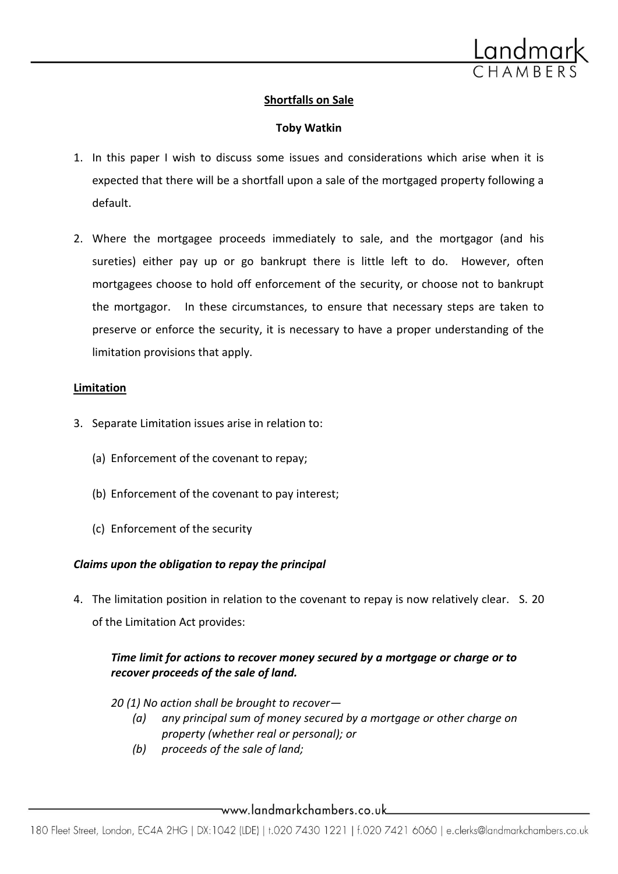

# **Shortfalls on Sale**

# **Toby Watkin**

- 1. In this paper I wish to discuss some issues and considerations which arise when it is expected that there will be a shortfall upon a sale of the mortgaged property following a default.
- 2. Where the mortgagee proceeds immediately to sale, and the mortgagor (and his sureties) either pay up or go bankrupt there is little left to do. However, often mortgagees choose to hold off enforcement of the security, or choose not to bankrupt the mortgagor. In these circumstances, to ensure that necessary steps are taken to preserve or enforce the security, it is necessary to have a proper understanding of the limitation provisions that apply.

#### **Limitation**

- 3. Separate Limitation issues arise in relation to:
	- (a) Enforcement of the covenant to repay;
	- (b) Enforcement of the covenant to pay interest;
	- (c) Enforcement of the security

# *Claims upon the obligation to repay the principal*

4. The limitation position in relation to the covenant to repay is now relatively clear. S. 20 of the Limitation Act provides:

# *Time limit for actions to recover money secured by a mortgage or charge or to recover proceeds of the sale of land.*

*20 (1) No action shall be brought to recover—*

- *(a) any principal sum of money secured by a mortgage or other charge on property (whether real or personal); or*
- *(b) proceeds of the sale of land;*

\_\_www.landmarkchambers.co.uk\_\_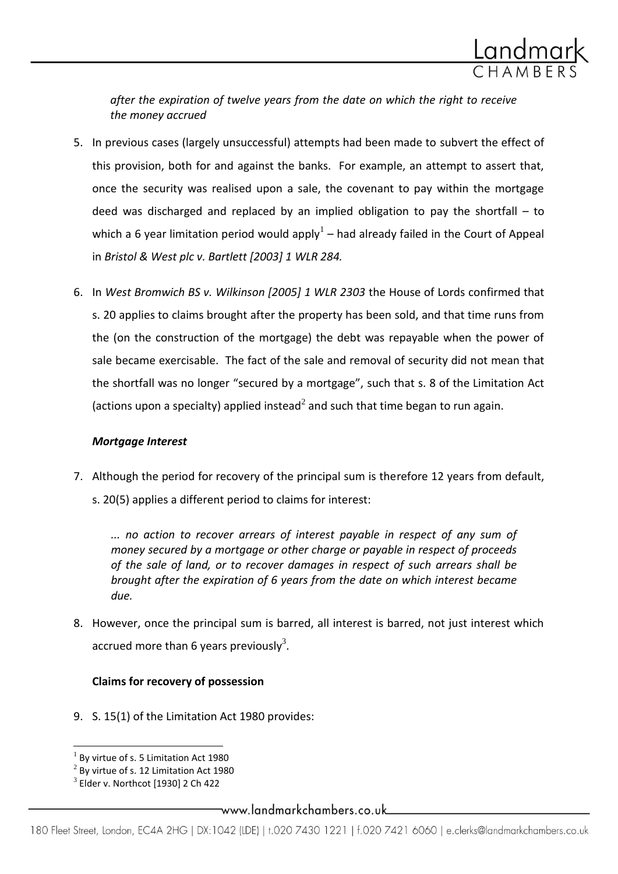

*after the expiration of twelve years from the date on which the right to receive the money accrued*

- 5. In previous cases (largely unsuccessful) attempts had been made to subvert the effect of this provision, both for and against the banks. For example, an attempt to assert that, once the security was realised upon a sale, the covenant to pay within the mortgage deed was discharged and replaced by an implied obligation to pay the shortfall – to which a 6 year limitation period would apply<sup>1</sup> – had already failed in the Court of Appeal in *Bristol & West plc v. Bartlett [2003] 1 WLR 284.*
- 6. In *West Bromwich BS v. Wilkinson [2005] 1 WLR 2303* the House of Lords confirmed that s. 20 applies to claims brought after the property has been sold, and that time runs from the (on the construction of the mortgage) the debt was repayable when the power of sale became exercisable. The fact of the sale and removal of security did not mean that the shortfall was no longer "secured by a mortgage", such that s. 8 of the Limitation Act (actions upon a specialty) applied instead<sup>2</sup> and such that time began to run again.

#### *Mortgage Interest*

7. Although the period for recovery of the principal sum is therefore 12 years from default, s. 20(5) applies a different period to claims for interest:

*... no action to recover arrears of interest payable in respect of any sum of money secured by a mortgage or other charge or payable in respect of proceeds of the sale of land, or to recover damages in respect of such arrears shall be brought after the expiration of 6 years from the date on which interest became due.*

8. However, once the principal sum is barred, all interest is barred, not just interest which accrued more than 6 years previously<sup>3</sup>.

# **Claims for recovery of possession**

9. S. 15(1) of the Limitation Act 1980 provides:

 $\overline{\phantom{a}}$ 

 $<sup>1</sup>$  By virtue of s. 5 Limitation Act 1980</sup>

 $^{2}$  By virtue of s. 12 Limitation Act 1980

 $^3$  Elder v. Northcot [1930] 2 Ch 422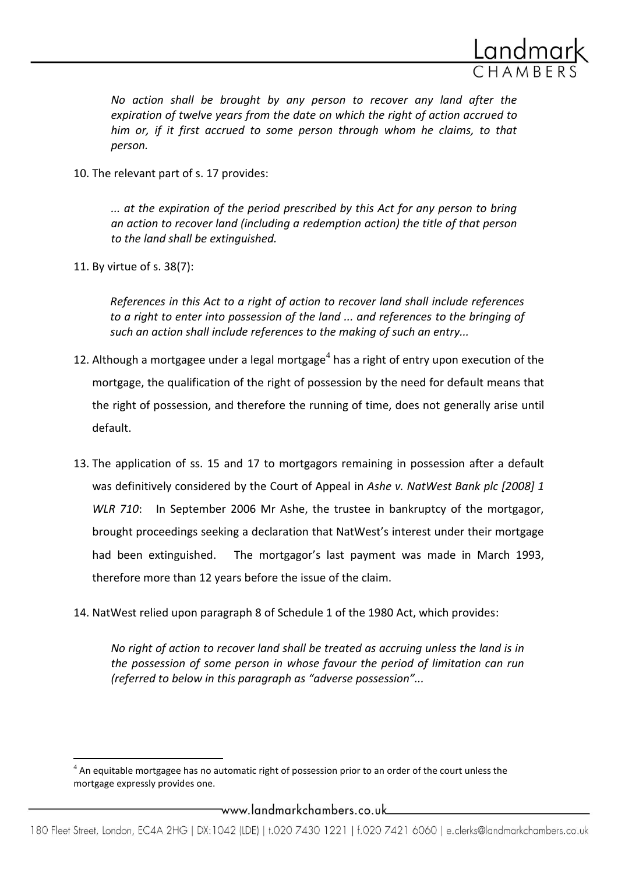

*No action shall be brought by any person to recover any land after the expiration of twelve years from the date on which the right of action accrued to him or, if it first accrued to some person through whom he claims, to that person.*

10. The relevant part of s. 17 provides:

*... at the expiration of the period prescribed by this Act for any person to bring an action to recover land (including a redemption action) the title of that person to the land shall be extinguished.*

11. By virtue of s. 38(7):

l

*References in this Act to a right of action to recover land shall include references to a right to enter into possession of the land ... and references to the bringing of such an action shall include references to the making of such an entry...*

- 12. Although a mortgagee under a legal mortgage<sup>4</sup> has a right of entry upon execution of the mortgage, the qualification of the right of possession by the need for default means that the right of possession, and therefore the running of time, does not generally arise until default.
- 13. The application of ss. 15 and 17 to mortgagors remaining in possession after a default was definitively considered by the Court of Appeal in *Ashe v. NatWest Bank plc [2008] 1 WLR 710*: In September 2006 Mr Ashe, the trustee in bankruptcy of the mortgagor, brought proceedings seeking a declaration that NatWest's interest under their mortgage had been extinguished. The mortgagor's last payment was made in March 1993, therefore more than 12 years before the issue of the claim.
- 14. NatWest relied upon paragraph 8 of Schedule 1 of the 1980 Act, which provides:

*No right of action to recover land shall be treated as accruing unless the land is in the possession of some person in whose favour the period of limitation can run (referred to below in this paragraph as "adverse possession"...*

 $^4$  An equitable mortgagee has no automatic right of possession prior to an order of the court unless the mortgage expressly provides one.

\_www.landmarkchambers.co.uk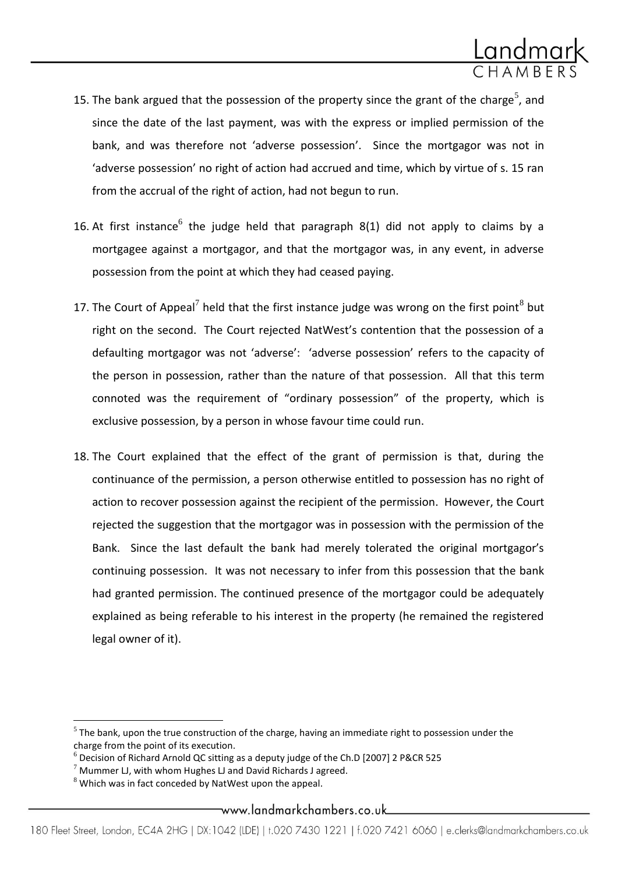

- 15. The bank argued that the possession of the property since the grant of the charge<sup>5</sup>, and since the date of the last payment, was with the express or implied permission of the bank, and was therefore not 'adverse possession'. Since the mortgagor was not in 'adverse possession' no right of action had accrued and time, which by virtue of s. 15 ran from the accrual of the right of action, had not begun to run.
- 16. At first instance<sup>6</sup> the judge held that paragraph 8(1) did not apply to claims by a mortgagee against a mortgagor, and that the mortgagor was, in any event, in adverse possession from the point at which they had ceased paying.
- 17. The Court of Appeal<sup>7</sup> held that the first instance judge was wrong on the first point<sup>8</sup> but right on the second. The Court rejected NatWest's contention that the possession of a defaulting mortgagor was not 'adverse': 'adverse possession' refers to the capacity of the person in possession, rather than the nature of that possession. All that this term connoted was the requirement of "ordinary possession" of the property, which is exclusive possession, by a person in whose favour time could run.
- 18. The Court explained that the effect of the grant of permission is that, during the continuance of the permission, a person otherwise entitled to possession has no right of action to recover possession against the recipient of the permission. However, the Court rejected the suggestion that the mortgagor was in possession with the permission of the Bank. Since the last default the bank had merely tolerated the original mortgagor's continuing possession. It was not necessary to infer from this possession that the bank had granted permission. The continued presence of the mortgagor could be adequately explained as being referable to his interest in the property (he remained the registered legal owner of it).

 $\overline{\phantom{a}}$ 

#### www.landmarkchambers.co.uk....

 $<sup>5</sup>$  The bank, upon the true construction of the charge, having an immediate right to possession under the</sup> charge from the point of its execution.

 $6$  Decision of Richard Arnold QC sitting as a deputy judge of the Ch.D [2007] 2 P&CR 525

 $7$  Mummer LJ, with whom Hughes LJ and David Richards J agreed.

 $8$  Which was in fact conceded by NatWest upon the appeal.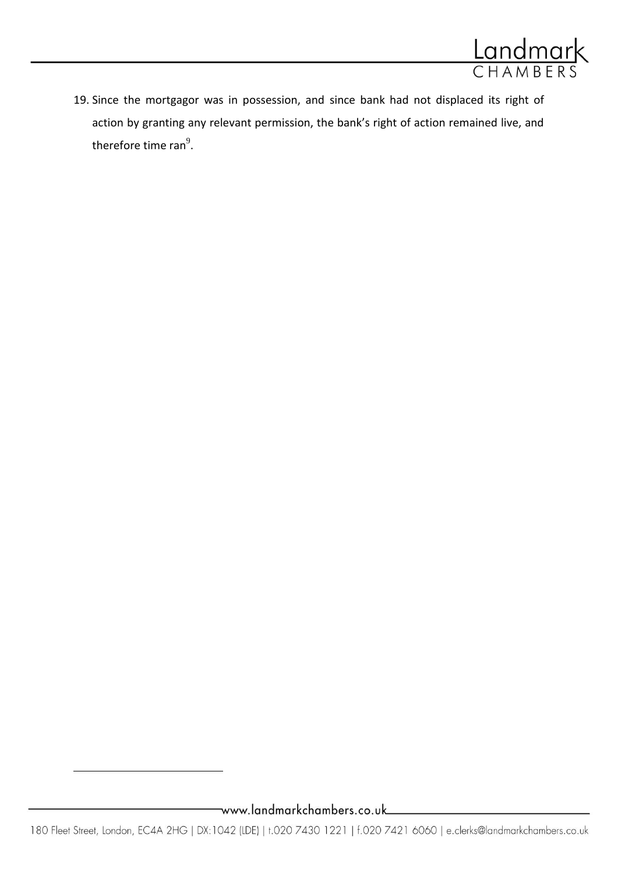

19. Since the mortgagor was in possession, and since bank had not displaced its right of action by granting any relevant permission, the bank's right of action remained live, and therefore time ran $^{9}$ .

 $\overline{\phantom{a}}$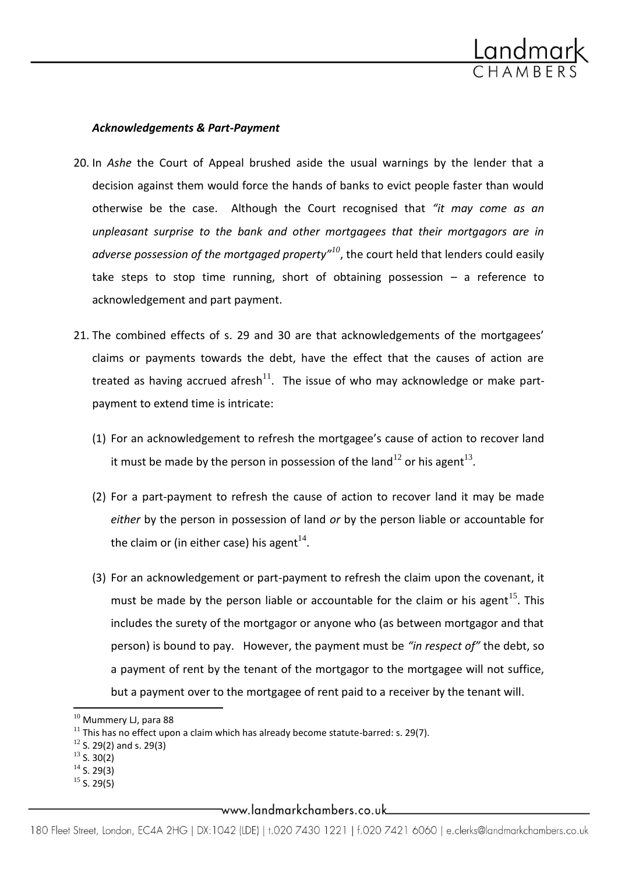

#### *Acknowledgements & Part-Payment*

- 20. In *Ashe* the Court of Appeal brushed aside the usual warnings by the lender that a decision against them would force the hands of banks to evict people faster than would otherwise be the case. Although the Court recognised that *"it may come as an unpleasant surprise to the bank and other mortgagees that their mortgagors are in adverse possession of the mortgaged property"<sup>10</sup>*, the court held that lenders could easily take steps to stop time running, short of obtaining possession – a reference to acknowledgement and part payment.
- 21. The combined effects of s. 29 and 30 are that acknowledgements of the mortgagees' claims or payments towards the debt, have the effect that the causes of action are treated as having accrued afresh<sup>11</sup>. The issue of who may acknowledge or make partpayment to extend time is intricate:
	- (1) For an acknowledgement to refresh the mortgagee's cause of action to recover land it must be made by the person in possession of the land<sup>12</sup> or his agent<sup>13</sup>.
	- (2) For a part-payment to refresh the cause of action to recover land it may be made *either* by the person in possession of land *or* by the person liable or accountable for the claim or (in either case) his agent $^{14}$ .
	- (3) For an acknowledgement or part-payment to refresh the claim upon the covenant, it must be made by the person liable or accountable for the claim or his agent<sup>15</sup>. This includes the surety of the mortgagor or anyone who (as between mortgagor and that person) is bound to pay. However, the payment must be *"in respect of"* the debt, so a payment of rent by the tenant of the mortgagor to the mortgagee will not suffice, but a payment over to the mortgagee of rent paid to a receiver by the tenant will.

 $^{13}$  S. 30(2)

 $\overline{a}$ 

 $15$  S. 29(5)

\_www.landmarkchambers.co.uk\_\_

<sup>&</sup>lt;sup>10</sup> Mummery LJ, para 88

 $11$  This has no effect upon a claim which has already become statute-barred: s. 29(7).

 $12$  S. 29(2) and s. 29(3)

 $14$  S. 29(3)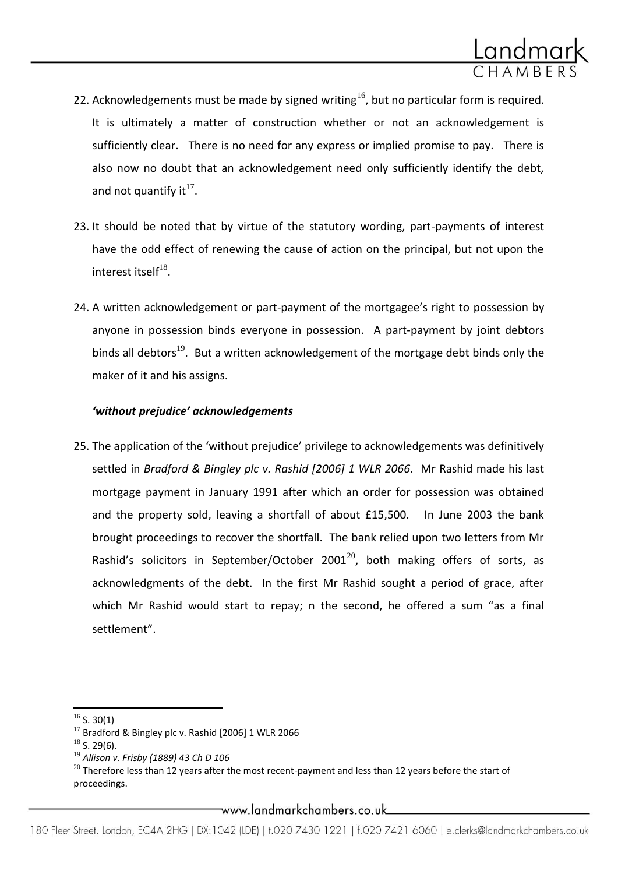

- 22. Acknowledgements must be made by signed writing<sup>16</sup>, but no particular form is required. It is ultimately a matter of construction whether or not an acknowledgement is sufficiently clear. There is no need for any express or implied promise to pay. There is also now no doubt that an acknowledgement need only sufficiently identify the debt, and not quantify it $^{17}$ .
- 23. It should be noted that by virtue of the statutory wording, part-payments of interest have the odd effect of renewing the cause of action on the principal, but not upon the interest itself $^{18}$ .
- 24. A written acknowledgement or part-payment of the mortgagee's right to possession by anyone in possession binds everyone in possession. A part-payment by joint debtors binds all debtors<sup>19</sup>. But a written acknowledgement of the mortgage debt binds only the maker of it and his assigns.

# *'without prejudice' acknowledgements*

25. The application of the 'without prejudice' privilege to acknowledgements was definitively settled in *Bradford & Bingley plc v. Rashid [2006] 1 WLR 2066.* Mr Rashid made his last mortgage payment in January 1991 after which an order for possession was obtained and the property sold, leaving a shortfall of about £15,500. In June 2003 the bank brought proceedings to recover the shortfall. The bank relied upon two letters from Mr Rashid's solicitors in September/October 2001<sup>20</sup>, both making offers of sorts, as acknowledgments of the debt. In the first Mr Rashid sought a period of grace, after which Mr Rashid would start to repay; n the second, he offered a sum "as a final settlement".

 $\overline{a}$ 

\_www.landmarkchambers.co.uk

 $16$  S. 30(1)

 $17$  Bradford & Bingley plc v. Rashid [2006] 1 WLR 2066

 $18$  S. 29(6).

<sup>19</sup> *Allison v. Frisby (1889) 43 Ch D 106*

 $^{20}$  Therefore less than 12 years after the most recent-payment and less than 12 years before the start of proceedings.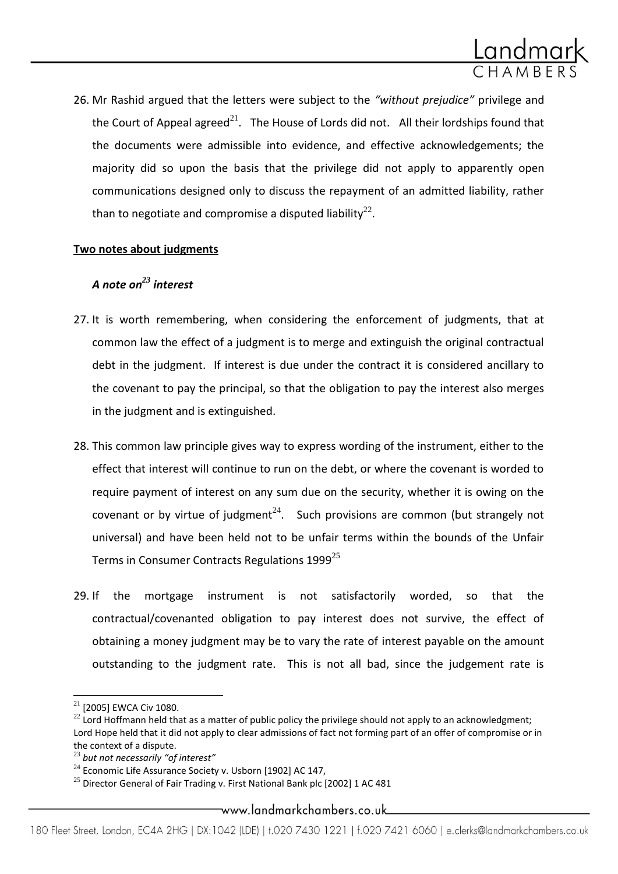

26. Mr Rashid argued that the letters were subject to the *"without prejudice"* privilege and the Court of Appeal agreed<sup>21</sup>. The House of Lords did not. All their lordships found that the documents were admissible into evidence, and effective acknowledgements; the majority did so upon the basis that the privilege did not apply to apparently open communications designed only to discuss the repayment of an admitted liability, rather than to negotiate and compromise a disputed liability $^{22}$ .

# **Two notes about judgments**

# *A note on<sup>23</sup> interest*

- 27. It is worth remembering, when considering the enforcement of judgments, that at common law the effect of a judgment is to merge and extinguish the original contractual debt in the judgment. If interest is due under the contract it is considered ancillary to the covenant to pay the principal, so that the obligation to pay the interest also merges in the judgment and is extinguished.
- 28. This common law principle gives way to express wording of the instrument, either to the effect that interest will continue to run on the debt, or where the covenant is worded to require payment of interest on any sum due on the security, whether it is owing on the covenant or by virtue of judgment<sup>24</sup>. Such provisions are common (but strangely not universal) and have been held not to be unfair terms within the bounds of the Unfair Terms in Consumer Contracts Regulations  $1999^{25}$
- 29. If the mortgage instrument is not satisfactorily worded, so that the contractual/covenanted obligation to pay interest does not survive, the effect of obtaining a money judgment may be to vary the rate of interest payable on the amount outstanding to the judgment rate. This is not all bad, since the judgement rate is

 $\overline{\phantom{a}}$ 

#### \_www.landmarkchambers.co.uk

<sup>&</sup>lt;sup>21</sup> [2005] EWCA Civ 1080.

 $22$  Lord Hoffmann held that as a matter of public policy the privilege should not apply to an acknowledgment; Lord Hope held that it did not apply to clear admissions of fact not forming part of an offer of compromise or in the context of a dispute.

<sup>23</sup> *but not necessarily "of interest"*

 $24$  Economic Life Assurance Society v. Usborn [1902] AC 147,

 $^{25}$  Director General of Fair Trading v. First National Bank plc [2002] 1 AC 481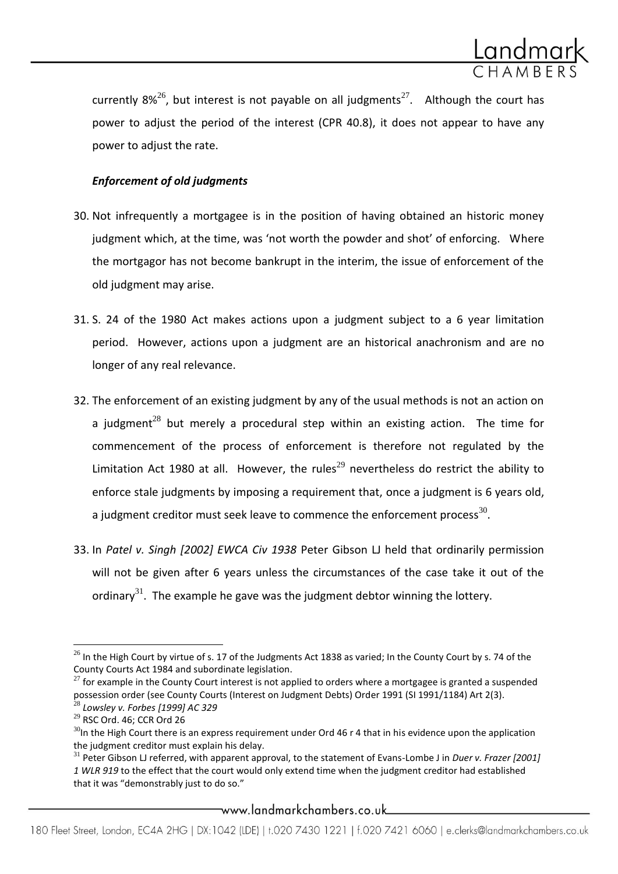

currently 8%<sup>26</sup>, but interest is not payable on all judgments<sup>27</sup>. Although the court has power to adjust the period of the interest (CPR 40.8), it does not appear to have any power to adjust the rate.

# *Enforcement of old judgments*

- 30. Not infrequently a mortgagee is in the position of having obtained an historic money judgment which, at the time, was 'not worth the powder and shot' of enforcing. Where the mortgagor has not become bankrupt in the interim, the issue of enforcement of the old judgment may arise.
- 31. S. 24 of the 1980 Act makes actions upon a judgment subject to a 6 year limitation period. However, actions upon a judgment are an historical anachronism and are no longer of any real relevance.
- 32. The enforcement of an existing judgment by any of the usual methods is not an action on a iudgment<sup>28</sup> but merely a procedural step within an existing action. The time for commencement of the process of enforcement is therefore not regulated by the Limitation Act 1980 at all. However, the rules<sup>29</sup> nevertheless do restrict the ability to enforce stale judgments by imposing a requirement that, once a judgment is 6 years old, a judgment creditor must seek leave to commence the enforcement process $^{30}$ .
- 33. In *Patel v. Singh [2002] EWCA Civ 1938* Peter Gibson LJ held that ordinarily permission will not be given after 6 years unless the circumstances of the case take it out of the ordinary<sup>31</sup>. The example he gave was the judgment debtor winning the lottery.

\_www.landmarkchambers.co.uk\_\_

l  $^{26}$  In the High Court by virtue of s. 17 of the Judgments Act 1838 as varied; In the County Court by s. 74 of the County Courts Act 1984 and subordinate legislation.

 $27$  for example in the County Court interest is not applied to orders where a mortgagee is granted a suspended possession order (see County Courts (Interest on Judgment Debts) Order 1991 (SI 1991/1184) Art 2(3).

<sup>28</sup> *Lowsley v. Forbes [1999] AC 329*

<sup>29</sup> RSC Ord. 46; CCR Ord 26

 $30$ In the High Court there is an express requirement under Ord 46 r 4 that in his evidence upon the application the judgment creditor must explain his delay.

<sup>31</sup> Peter Gibson LJ referred, with apparent approval, to the statement of Evans-Lombe J in *Duer v. Frazer [2001] 1 WLR 919* to the effect that the court would only extend time when the judgment creditor had established that it was "demonstrably just to do so."